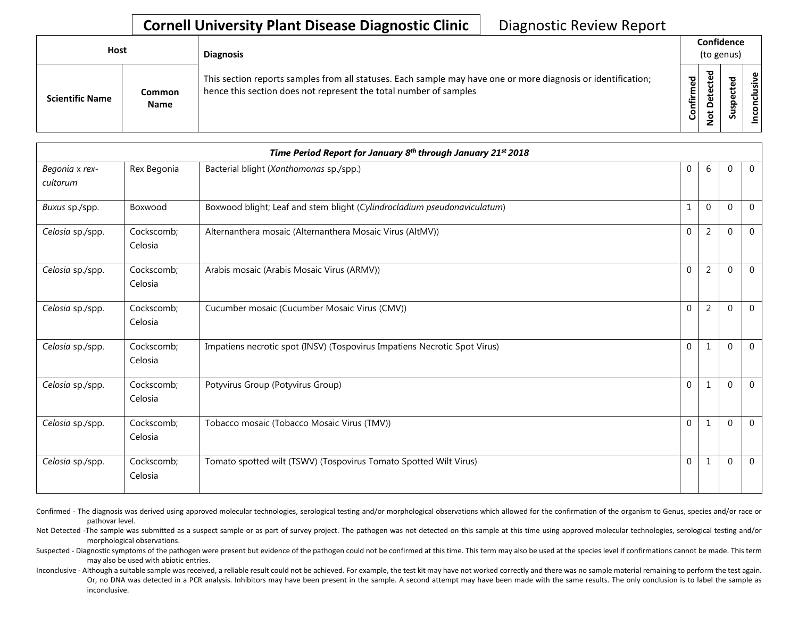## **Cornell University Plant Disease Diagnostic Clinic** | Diagnostic Review Report

| Host |                        |                              | <b>Diagnosis</b>                                                                                                                                                                   | Confidence<br>(to genus) |               |        |                                        |  |
|------|------------------------|------------------------------|------------------------------------------------------------------------------------------------------------------------------------------------------------------------------------|--------------------------|---------------|--------|----------------------------------------|--|
|      | <b>Scientific Name</b> | <b>Common</b><br><b>Name</b> | This section reports samples from all statuses. Each sample may have one or more diagnosis or identification;<br>hence this section does not represent the total number of samples | Confirmed                | 73<br>c<br>ید | s<br>Ū | $\tilde{\mathbf{z}}$<br>g<br>᠊ᠣ<br>con |  |

| Time Period Report for January 8th through January 21st 2018 |                       |                                                                           |              |                |              |                |  |
|--------------------------------------------------------------|-----------------------|---------------------------------------------------------------------------|--------------|----------------|--------------|----------------|--|
| Begonia x rex-<br>cultorum                                   | Rex Begonia           | Bacterial blight (Xanthomonas sp./spp.)                                   | $\mathbf 0$  | 6              | $\mathbf{0}$ | $\mathbf{0}$   |  |
| Buxus sp./spp.                                               | Boxwood               | Boxwood blight; Leaf and stem blight (Cylindrocladium pseudonaviculatum)  | $\mathbf{1}$ | $\mathbf 0$    | $\Omega$     | $\Omega$       |  |
| Celosia sp./spp.                                             | Cockscomb;<br>Celosia | Alternanthera mosaic (Alternanthera Mosaic Virus (AltMV))                 | $\mathbf 0$  | 2              | $\mathbf{0}$ | $\Omega$       |  |
| Celosia sp./spp.                                             | Cockscomb;<br>Celosia | Arabis mosaic (Arabis Mosaic Virus (ARMV))                                | $\mathbf{0}$ | $\overline{2}$ | $\mathbf{0}$ | $\Omega$       |  |
| Celosia sp./spp.                                             | Cockscomb;<br>Celosia | Cucumber mosaic (Cucumber Mosaic Virus (CMV))                             | $\mathbf 0$  | $\overline{2}$ | $\Omega$     | $\Omega$       |  |
| Celosia sp./spp.                                             | Cockscomb;<br>Celosia | Impatiens necrotic spot (INSV) (Tospovirus Impatiens Necrotic Spot Virus) | $\mathbf 0$  | 1              | $\Omega$     | $\Omega$       |  |
| Celosia sp./spp.                                             | Cockscomb;<br>Celosia | Potyvirus Group (Potyvirus Group)                                         | $\Omega$     | 1              | $\Omega$     | $\Omega$       |  |
| Celosia sp./spp.                                             | Cockscomb;<br>Celosia | Tobacco mosaic (Tobacco Mosaic Virus (TMV))                               | $\mathbf 0$  | $\mathbf{1}$   | $\Omega$     | $\overline{0}$ |  |
| Celosia sp./spp.                                             | Cockscomb;<br>Celosia | Tomato spotted wilt (TSWV) (Tospovirus Tomato Spotted Wilt Virus)         | $\mathbf{0}$ | 1              | $\Omega$     | $\overline{0}$ |  |

Confirmed - The diagnosis was derived using approved molecular technologies, serological testing and/or morphological observations which allowed for the confirmation of the organism to Genus, species and/or race or pathovar level.

Not Detected -The sample was submitted as a suspect sample or as part of survey project. The pathogen was not detected on this sample at this time using approved molecular technologies, serological testing and/or morphological observations.

Suspected - Diagnostic symptoms of the pathogen were present but evidence of the pathogen could not be confirmed at this time. This term may also be used at the species level if confirmations cannot be made. This term may also be used with abiotic entries.

Inconclusive - Although a suitable sample was received, a reliable result could not be achieved. For example, the test kit may have not worked correctly and there was no sample material remaining to perform the test again. Or, no DNA was detected in a PCR analysis. Inhibitors may have been present in the sample. A second attempt may have been made with the same results. The only conclusion is to label the sample as inconclusive.